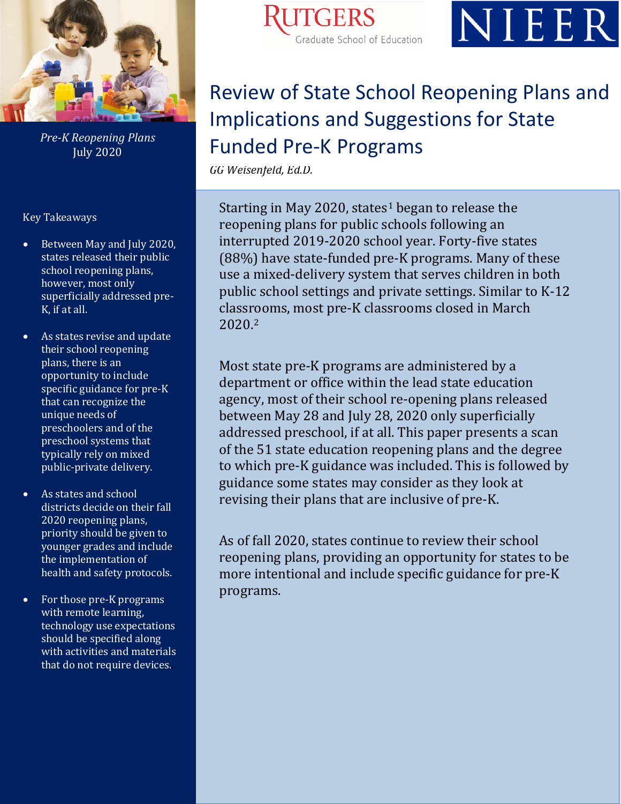

*Pre-K Reopening Plans* July 2020

Key Takeaways

- Between May and July 2020, states released their public school reopening plans, however, most only superficially addressed pre-K, if at all.
- As states revise and update their school reopening plans, there is an opportunity to include specific guidance for pre-K that can recognize the unique needs of preschoolers and of the preschool systems that typically rely on mixed public-private delivery.
- As states and school districts decide on their fall 2020 reopening plans, priority should be given to younger grades and include the implementation of health and safety protocols.
- For those pre-K programs with remote learning, technology use expectations should be specified along with activities and materials that do not require devices..





# *GG Weisenfeld*  Review of State School Reopening Plans and Implications and Suggestions for State Funded Pre-K Programs

*GG Weisenfeld, Ed.D.*

Starting in May 2020, states<sup>[1](#page-12-0)</sup> began to release the reopening plans for public schools following an interrupted 2019-2020 school year. Forty-five states (88%) have state-funded pre-K programs. Many of these use a mixed-delivery system that serves children in both public school settings and private settings. Similar to K-12 classr[o](#page-12-1)oms, most pre-K classrooms closed in March 2020.2

Most state pre-K programs are administered by a department or office within the lead state education agency, most of their school re-opening plans released between May 28 and July 28, 2020 only superficially addressed preschool, if at all. This paper presents a scan of the 51 state education reopening plans and the degree to which pre-K guidance was included. This is followed by guidance some states may consider as they look at revising their plans that are inclusive of pre-K.

As of fall 2020, states continue to review their school reopening plans, providing an opportunity for states to be more intentional and include specific guidance for pre-K programs.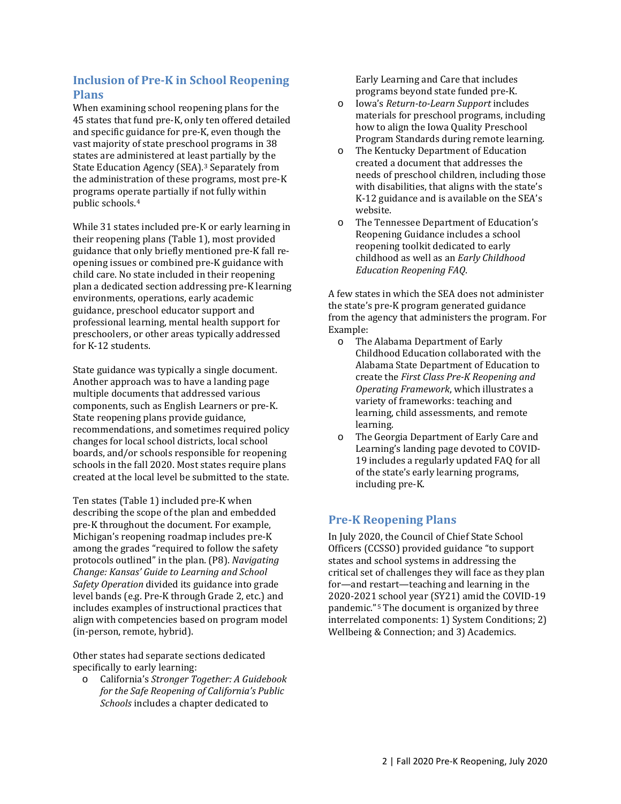# **Inclusion of Pre-K in School Reopening Plans**

When examining school reopening plans for the 45 states that fund pre-K, only ten offered detailed and specific guidance for pre-K, even though the vast majority of state preschool programs in 38 states are administered at least partially by the State Education Agency (SEA).<sup>[3](#page-12-2)</sup> Separately from the administration of these programs, most pre-K programs ope[ra](#page-12-3)te partially if not fully within public schools.4

While 31 states included pre-K or early learning in their reopening plans (Table 1), most provided guidance that only briefly mentioned pre-K fall reopening issues or combined pre-K guidance with child care. No state included in their reopening plan a dedicated section addressing pre-K learning environments, operations, early academic guidance, preschool educator support and professional learning, mental health support for preschoolers, or other areas typically addressed for K-12 students.

State guidance was typically a single document. Another approach was to have a landing page multiple documents that addressed various components, such as English Learners or pre-K. State reopening plans provide guidance, recommendations, and sometimes required policy changes for local school districts, local school boards, and/or schools responsible for reopening schools in the fall 2020. Most states require plans created at the local level be submitted to the state.

Ten states (Table 1) included pre-K when describing the scope of the plan and embedded pre-K throughout the document. For example, Michigan's reopening roadmap includes pre-K among the grades "required to follow the safety protocols outlined" in the plan. (P8). *Navigating Change: Kansas' Guide to Learning and School Safety Operation* divided its guidance into grade level bands (e.g. Pre-K through Grade 2, etc.) and includes examples of instructional practices that align with competencies based on program model (in-person, remote, hybrid).

Other states had separate sections dedicated specifically to early learning:

o California's *Stronger Together: A Guidebook for the Safe Reopening of California's Public Schools* includes a chapter dedicated to

Early Learning and Care that includes programs beyond state funded pre-K.

- o Iowa's *Return-to-Learn Support* includes materials for preschool programs, including how to align the Iowa Quality Preschool Program Standards during remote learning.
- o The Kentucky Department of Education created a document that addresses the needs of preschool children, including those with disabilities, that aligns with the state's K-12 guidance and is available on the SEA's website.
- o The Tennessee Department of Education's Reopening Guidance includes a school reopening toolkit dedicated to early childhood as well as an *Early Childhood Education Reopening FAQ*.

A few states in which the SEA does not administer the state's pre-K program generated guidance from the agency that administers the program. For Example:<br>O The

- The Alabama Department of Early Childhood Education collaborated with the Alabama State Department of Education to create the *First Class Pre-K Reopening and Operating Framework*, which illustrates a variety of frameworks: teaching and learning, child assessments, and remote learning.
- o The Georgia Department of Early Care and Learning's landing page devoted to COVID-19 includes a regularly updated FAQ for all of the state's early learning programs, including pre-K.

# **Pre-K Reopening Plans**

In July 2020, the Council of Chief State School Officers (CCSSO) provided guidance "to support states and school systems in addressing the critical set of challenges they will face as they plan for—and restart—teaching and learning in the 2020-2021 school year (SY21) amid the COVID-19 pandemic."[5](#page-12-4) The document is organized by three interrelated components: 1) System Conditions; 2) Wellbeing & Connection; and 3) Academics.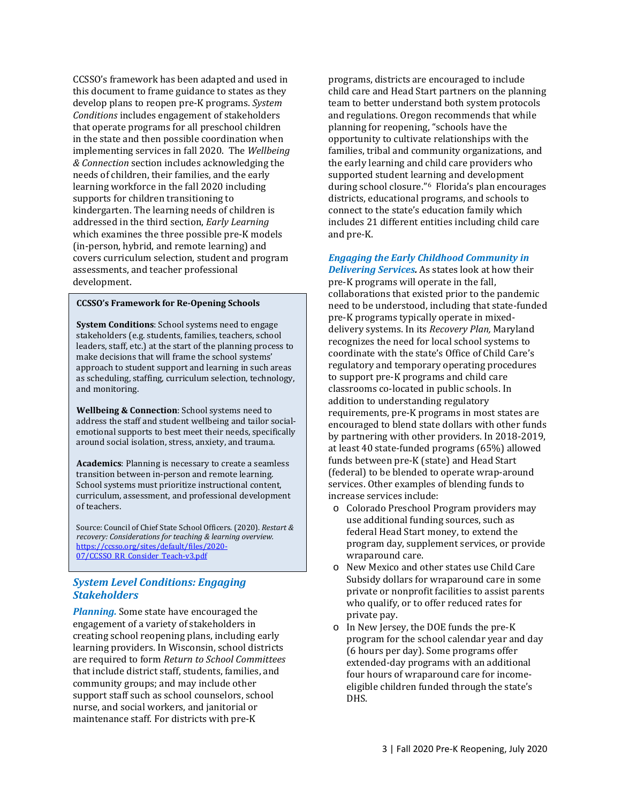CCSSO's framework has been adapted and used in this document to frame guidance to states as they develop plans to reopen pre-K programs. *System Conditions* includes engagement of stakeholders that operate programs for all preschool children in the state and then possible coordination when implementing services in fall 2020. The *Wellbeing & Connection* section includes acknowledging the needs of children, their families, and the early learning workforce in the fall 2020 including supports for children transitioning to kindergarten. The learning needs of children is addressed in the third section, *Early Learning*  which examines the three possible pre-K models (in-person, hybrid, and remote learning) and covers curriculum selection, student and program assessments, and teacher professional development.

#### **CCSSO's Framework for Re-Opening Schools**

**System Conditions**: School systems need to engage stakeholders (e.g. students, families, teachers, school leaders, staff, etc.) at the start of the planning process to make decisions that will frame the school systems' approach to student support and learning in such areas as scheduling, staffing, curriculum selection, technology, and monitoring.

**Wellbeing & Connection**: School systems need to address the staff and student wellbeing and tailor socialemotional supports to best meet their needs, specifically around social isolation, stress, anxiety, and trauma.

**Academics**: Planning is necessary to create a seamless transition between in-person and remote learning. School systems must prioritize instructional content, curriculum, assessment, and professional development of teachers.

Source: Council of Chief State School Officers. (2020). *Restart & recovery: Considerations for teaching & learning overview.* [https://ccsso.org/sites/default/files/2020-](https://ccsso.org/sites/default/files/2020-07/CCSSO_RR_Consider_Teach-v3.pdf) [07/CCSSO\\_RR\\_Consider\\_Teach-v3.pdf](https://ccsso.org/sites/default/files/2020-07/CCSSO_RR_Consider_Teach-v3.pdf)

## *System Level Conditions: Engaging Stakeholders*

*Planning.* Some state have encouraged the engagement of a variety of stakeholders in creating school reopening plans, including early learning providers. In Wisconsin, school districts are required to form *Return to School Committees* that include district staff, students, families, and community groups; and may include other support staff such as school counselors, school nurse, and social workers, and janitorial or maintenance staff. For districts with pre-K

programs, districts are encouraged to include child care and Head Start partners on the planning team to better understand both system protocols and regulations. Oregon recommends that while planning for reopening, "schools have the opportunity to cultivate relationships with the families, tribal and community organizations, and the early learning and child care providers who supported student learning and development during school closure."[6](#page-12-5) Florida's plan encourages districts, educational programs, and schools to connect to the state's education family which includes 21 different entities including child care and pre-K.

*Engaging the Early Childhood Community in Delivering Services.* As states look at how their pre-K programs will operate in the fall, collaborations that existed prior to the pandemic need to be understood, including that state-funded pre-K programs typically operate in mixeddelivery systems. In its *Recovery Plan,* Maryland recognizes the need for local school systems to coordinate with the state's Office of Child Care's regulatory and temporary operating procedures to support pre-K programs and child care classrooms co-located in public schools. In addition to understanding regulatory requirements, pre-K programs in most states are encouraged to blend state dollars with other funds by partnering with other providers. In 2018-2019, at least 40 state-funded programs (65%) allowed funds between pre-K (state) and Head Start (federal) to be blended to operate wrap-around services. Other examples of blending funds to increase services include:

- o Colorado Preschool Program providers may use additional funding sources, such as federal Head Start money, to extend the program day, supplement services, or provide wraparound care.
- o New Mexico and other states use Child Care Subsidy dollars for wraparound care in some private or nonprofit facilities to assist parents who qualify, or to offer reduced rates for private pay.
- o In New Jersey, the DOE funds the pre-K program for the school calendar year and day (6 hours per day). Some programs offer extended-day programs with an additional four hours of wraparound care for incomeeligible children funded through the state's DHS.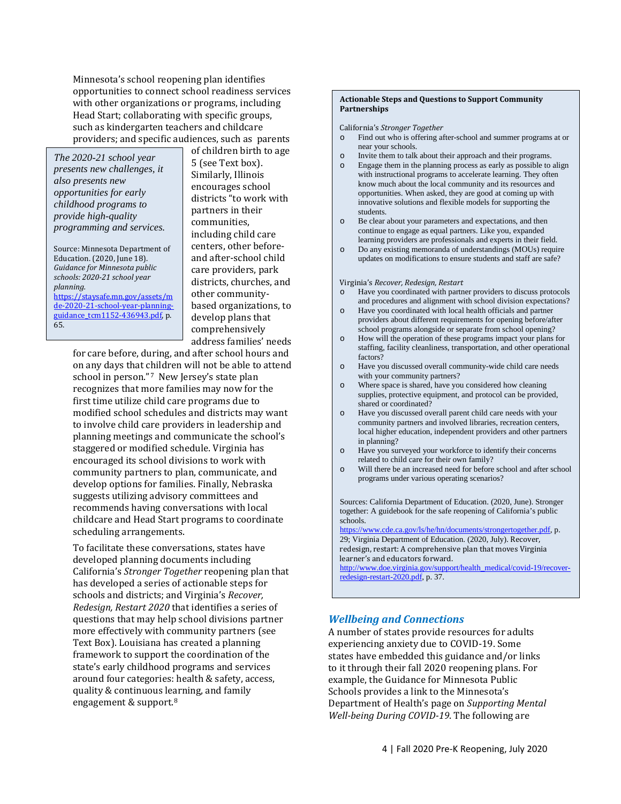Minnesota's school reopening plan identifies opportunities to connect school readiness services with other organizations or programs, including Head Start; collaborating with specific groups, such as kindergarten teachers and childcare providers; and specific audiences, such as parents

*The 2020-21 school year presents new challenges, it also presents new opportunities for early childhood programs to provide high-quality programming and services.*

Source: Minnesota Department of Education. (2020, June 18). *Guidance for Minnesota public schools: 2020-21 school year planning.* 

[https://staysafe.mn.gov/assets/m](https://staysafe.mn.gov/assets/mde-2020-21-school-year-planning-guidance_tcm1152-436943.pdf) [de-2020-21-school-year-planning](https://staysafe.mn.gov/assets/mde-2020-21-school-year-planning-guidance_tcm1152-436943.pdf)guidance tcm1152-436943.pdf, p. 65.

of children birth to age 5 (see Text box). Similarly, Illinois encourages school districts "to work with partners in their communities, including child care centers, other beforeand after-school child care providers, park districts, churches, and other communitybased organizations, to develop plans that comprehensively address families' needs

for care before, during, and after school hours and on any days that children will not be able to attend school in person."[7](#page-12-6) New Jersey's state plan recognizes that more families may now for the first time utilize child care programs due to modified school schedules and districts may want to involve child care providers in leadership and planning meetings and communicate the school's staggered or modified schedule. Virginia has encouraged its school divisions to work with community partners to plan, communicate, and develop options for families. Finally, Nebraska suggests utilizing advisory committees and recommends having conversations with local childcare and Head Start programs to coordinate scheduling arrangements.

To facilitate these conversations, states have developed planning documents including California's *Stronger Together* reopening plan that has developed a series of actionable steps for schools and districts; and Virginia's *Recover, Redesign, Restart 2020* that identifies a series of questions that may help school divisions partner more effectively with community partners (see Text Box). Louisiana has created a planning framework to support the coordination of the state's early childhood programs and services around four categories: health & safety, access, quality & continuous learning, and family engagement & support.[8](#page-12-7)

#### **Actionable Steps and Questions to Support Community Partnerships**

California's *Stronger Together*

- Find out who is offering after-school and summer programs at or near your schools.
- o Invite them to talk about their approach and their programs.
- Engage them in the planning process as early as possible to align with instructional programs to accelerate learning. They often know much about the local community and its resources and opportunities. When asked, they are good at coming up with innovative solutions and flexible models for supporting the students.
- o Be clear about your parameters and expectations, and then continue to engage as equal partners. Like you, expanded learning providers are professionals and experts in their field.
- o Do any existing memoranda of understandings (MOUs) require updates on modifications to ensure students and staff are safe?

#### Virginia's *Recover, Redesign, Restart*

- Have you coordinated with partner providers to discuss protocols and procedures and alignment with school division expectations?
- o Have you coordinated with local health officials and partner providers about different requirements for opening before/after school programs alongside or separate from school opening?
- o How will the operation of these programs impact your plans for staffing, facility cleanliness, transportation, and other operational factors?
- o Have you discussed overall community-wide child care needs with your community partners?
- o Where space is shared, have you considered how cleaning supplies, protective equipment, and protocol can be provided, shared or coordinated?
- o Have you discussed overall parent child care needs with your community partners and involved libraries, recreation centers, local higher education, independent providers and other partners in planning?
- o Have you surveyed your workforce to identify their concerns related to child care for their own family?
- o Will there be an increased need for before school and after school programs under various operating scenarios?

Sources: California Department of Education. (2020, June). Stronger together: A guidebook for the safe reopening of California's public schools.

[https://www.cde.ca.gov/ls/he/hn/documents/strongertogether.pdf,](https://www.cde.ca.gov/ls/he/hn/documents/strongertogether.pdf) p. 29; Virginia Department of Education. (2020, July). Recover, redesign, restart: A comprehensive plan that moves Virginia learner's and educators forward.

[http://www.doe.virginia.gov/support/health\\_medical/covid-19/recover](http://www.doe.virginia.gov/support/health_medical/covid-19/recover-redesign-restart-2020.pdf)[redesign-restart-2020.pdf,](http://www.doe.virginia.gov/support/health_medical/covid-19/recover-redesign-restart-2020.pdf) p. 37.

### *Wellbeing and Connections*

A number of states provide resources for adults experiencing anxiety due to COVID-19. Some states have embedded this guidance and/or links to it through their fall 2020 reopening plans. For example, the Guidance for Minnesota Public Schools provides a link to the Minnesota's Department of Health's page on *Supporting Mental Well-being During COVID-19*. The following are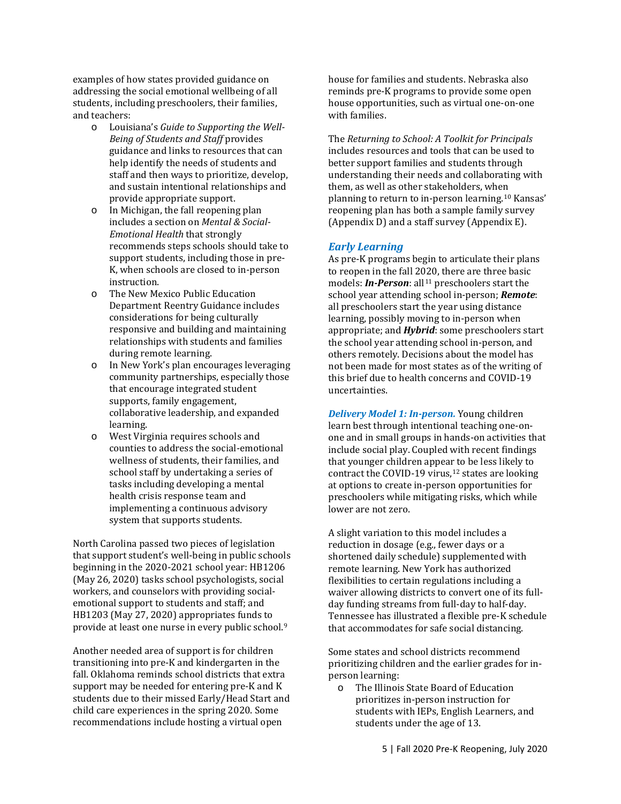examples of how states provided guidance on addressing the social emotional wellbeing of all students, including preschoolers, their families, and teachers:<br>o Louis

- Louisiana's *Guide to Supporting the Well-Being of Students and Staff* provides guidance and links to resources that can help identify the needs of students and staff and then ways to prioritize, develop, and sustain intentional relationships and provide appropriate support.
- o In Michigan, the fall reopening plan includes a section on *Mental & Social-Emotional Health* that strongly recommends steps schools should take to support students, including those in pre-K, when schools are closed to in-person instruction.
- o The New Mexico Public Education Department Reentry Guidance includes considerations for being culturally responsive and building and maintaining relationships with students and families during remote learning.
- o In New York's plan encourages leveraging community partnerships, especially those that encourage integrated student supports, family engagement, collaborative leadership, and expanded learning.
- o West Virginia requires schools and counties to address the social-emotional wellness of students, their families, and school staff by undertaking a series of tasks including developing a mental health crisis response team and implementing a continuous advisory system that supports students.

North Carolina passed two pieces of legislation that support student's well-being in public schools beginning in the 2020-2021 school year: HB1206 (May 26, 2020) tasks school psychologists, social workers, and counselors with providing socialemotional support to students and staff; and HB1203 (May 27, 2020) appropriates funds to provide at least one nurse in every public school.[9](#page-12-8)

Another needed area of support is for children transitioning into pre-K and kindergarten in the fall. Oklahoma reminds school districts that extra support may be needed for entering pre-K and K students due to their missed Early/Head Start and child care experiences in the spring 2020. Some recommendations include hosting a virtual open

house for families and students. Nebraska also reminds pre-K programs to provide some open house opportunities, such as virtual one-on-one with families.

The *Returning to School: A Toolkit for Principals* includes resources and tools that can be used to better support families and students through understanding their needs and collaborating with them, as well as other stakeholders, when planning to return to in-person learning.[10](#page-12-9) Kansas' reopening plan has both a sample family survey (Appendix D) and a staff survey (Appendix E).

## *Early Learning*

As pre-K programs begin to articulate their plans to reopen in the fall 2020, there are three basic models: *In-Person*: all<sup>[11](#page-12-10)</sup> preschoolers start the school year attending school in-person; *Remote*: all preschoolers start the year using distance learning, possibly moving to in-person when appropriate; and *Hybrid*: some preschoolers start the school year attending school in-person, and others remotely. Decisions about the model has not been made for most states as of the writing of this brief due to health concerns and COVID-19 uncertainties.

*Delivery Model 1: In-person.* Young children learn best through intentional teaching one-onone and in small groups in hands-on activities that include social play. Coupled with recent findings that younger children appear to be less likely to contract the COVID-19 virus, $12$  states are looking at options to create in-person opportunities for preschoolers while mitigating risks, which while lower are not zero.

A slight variation to this model includes a reduction in dosage (e.g., fewer days or a shortened daily schedule) supplemented with remote learning. New York has authorized flexibilities to certain regulations including a waiver allowing districts to convert one of its fullday funding streams from full-day to half-day. Tennessee has illustrated a flexible pre-K schedule that accommodates for safe social distancing.

Some states and school districts recommend prioritizing children and the earlier grades for inperson learning:

o The Illinois State Board of Education prioritizes in-person instruction for students with IEPs, English Learners, and students under the age of 13.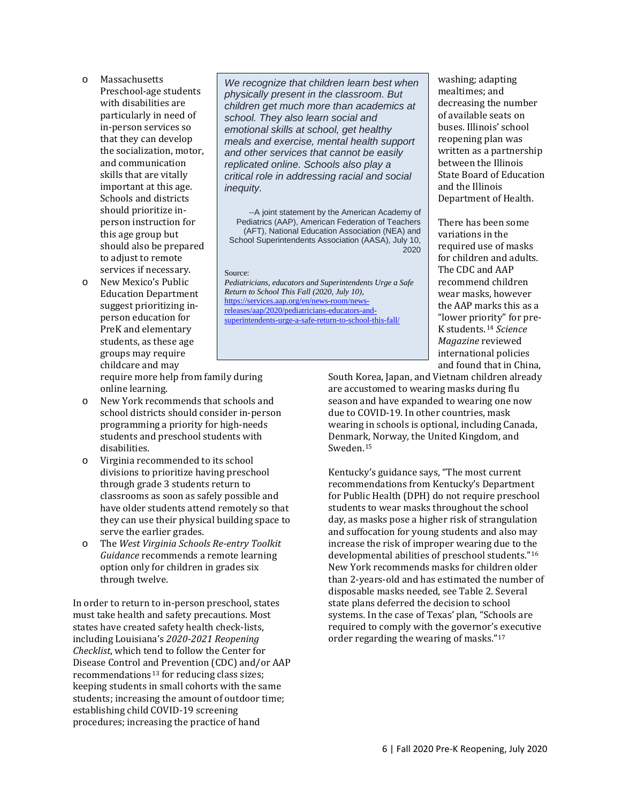- o Massachusetts Preschool-age students with disabilities are particularly in need of in-person services so that they can develop the socialization, motor, and communication skills that are vitally important at this age. Schools and districts should prioritize inperson instruction for this age group but should also be prepared to adjust to remote services if necessary.
- o New Mexico's Public Education Department suggest prioritizing inperson education for PreK and elementary students, as these age groups may require childcare and may

*We recognize that children learn best when physically present in the classroom. But children get much more than academics at school. They also learn social and emotional skills at school, get healthy meals and exercise, mental health support and other services that cannot be easily replicated online. Schools also play a critical role in addressing racial and social inequity.*

--A joint statement by the American Academy of Pediatrics (AAP), American Federation of Teachers (AFT), National Education Association (NEA) and School Superintendents Association (AASA), July 10,  $2020$ 

#### Source:

*Pediatricians, educators and Superintendents Urge a Safe Return to School This Fall (2020, July 10)*, [https://services.aap.org/en/news-room/news](https://services.aap.org/en/news-room/news-releases/aap/2020/pediatricians-educators-and-superintendents-urge-a-safe-return-to-school-this-fall/)[releases/aap/2020/pediatricians-educators-and](https://services.aap.org/en/news-room/news-releases/aap/2020/pediatricians-educators-and-superintendents-urge-a-safe-return-to-school-this-fall/)[superintendents-urge-a-safe-return-to-school-this-fall/](https://services.aap.org/en/news-room/news-releases/aap/2020/pediatricians-educators-and-superintendents-urge-a-safe-return-to-school-this-fall/)

washing; adapting mealtimes; and decreasing the number of available seats on buses. Illinois' school reopening plan was written as a partnership between the Illinois State Board of Education and the Illinois Department of Health.

There has been some variations in the required use of masks for children and adults. The CDC and AAP recommend children wear masks, however the AAP marks this as a "lower priority" for pre-K students.[14](#page-12-13) *Science Magazine* reviewed international policies and found that in China,

South Korea, Japan, and Vietnam children already are accustomed to wearing masks during flu season and have expanded to wearing one now

due to COVID-19. In other countries, mask wearing in schools is optional, including Canada, Denmark, Norway, the United Kingdom, and Sweden.[15](#page-12-14)

Kentucky's guidance says, "The most current recommendations from Kentucky's Department for Public Health (DPH) do not require preschool students to wear masks throughout the school day, as masks pose a higher risk of strangulation and suffocation for young students and also may increase the risk of improper wearing due to the developmental abilities of preschool students."[16](#page-12-15) New York recommends masks for children older than 2-years-old and has estimated the number of disposable masks needed, see Table 2. Several state plans deferred the decision to school systems. In the case of Texas' plan, "Schools are required to comply with the governor's executive order regarding the wearing of masks."[17](#page-12-16)

require more help from family during online learning.

- o New York recommends that schools and school districts should consider in-person programming a priority for high-needs students and preschool students with disabilities.
- o Virginia recommended to its school divisions to prioritize having preschool through grade 3 students return to classrooms as soon as safely possible and have older students attend remotely so that they can use their physical building space to serve the earlier grades.
- o The *West Virginia Schools Re-entry Toolkit Guidance* recommends a remote learning option only for children in grades six through twelve.

In order to return to in-person preschool, states must take health and safety precautions. Most states have created safety health check-lists, including Louisiana's *2020-2021 Reopening Checklist*, which tend to follow the Center for Disease Control and Prevention (CDC) and/or AAP recommendations<sup>[13](#page-12-12)</sup> for reducing class sizes; keeping students in small cohorts with the same students; increasing the amount of outdoor time; establishing child COVID-19 screening procedures; increasing the practice of hand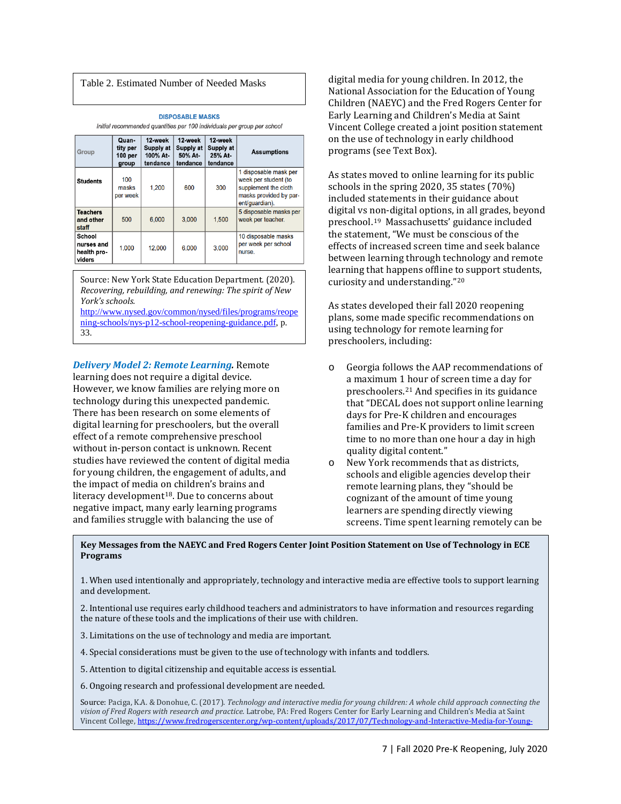### Table 2. Estimated Number of Needed Masks

**DISPOSABLE MASKS** Initial recommended quantities per 100 individuals per group per school

| Group                                         | Quan-<br>tity per<br>100 per<br>group | 12-week<br>Supply at<br>100% At-<br>tendance | 12-week<br>Supply at<br>50% At-<br>tendance | 12-week<br>Supply at<br>25% At-<br>tendance | <b>Assumptions</b>                                                                                                |
|-----------------------------------------------|---------------------------------------|----------------------------------------------|---------------------------------------------|---------------------------------------------|-------------------------------------------------------------------------------------------------------------------|
| <b>Students</b>                               | 100<br>masks<br>per week              | 1,200                                        | 600                                         | 300                                         | 1 disposable mask per<br>week per student (to<br>supplement the cloth<br>masks provided by par-<br>ent/quardian). |
| <b>Teachers</b><br>and other<br>staff         | 500                                   | 6.000                                        | 3.000                                       | 1.500                                       | 5 disposable masks per<br>week per teacher.                                                                       |
| School<br>nurses and<br>health pro-<br>viders | 1.000                                 | 12,000                                       | 6.000                                       | 3.000                                       | 10 disposable masks<br>per week per school<br>nurse.                                                              |

Source: New York State Education Department. (2020). *Recovering, rebuilding, and renewing: The spirit of New York's schools.*

[http://www.nysed.gov/common/nysed/files/programs/reope](http://www.nysed.gov/common/nysed/files/programs/reopening-schools/nys-p12-school-reopening-guidance.pdf) [ning-schools/nys-p12-school-reopening-guidance.pdf,](http://www.nysed.gov/common/nysed/files/programs/reopening-schools/nys-p12-school-reopening-guidance.pdf) p. 33.

*Delivery Model 2: Remote Learning.* Remote learning does not require a digital device. However, we know families are relying more on technology during this unexpected pandemic. There has been research on some elements of digital learning for preschoolers, but the overall effect of a remote comprehensive preschool without in-person contact is unknown. Recent studies have reviewed the content of digital media for young children, the engagement of adults, and the impact of media on children's brains and literacy development<sup>[18](#page-12-17)</sup>. Due to concerns about negative impact, many early learning programs and families struggle with balancing the use of

digital media for young children. In 2012, the National Association for the Education of Young Children (NAEYC) and the Fred Rogers Center for Early Learning and Children's Media at Saint Vincent College created a joint position statement on the use of technology in early childhood programs (see Text Box).

As states moved to online learning for its public schools in the spring 2020, 35 states (70%) included statements in their guidance about digital vs non-digital options, in all grades, beyond preschool.[19](#page-12-0) Massachusetts' guidance included the statement, "We must be conscious of the effects of increased screen time and seek balance between learning through technology and remote learning that happens offline to support students, curiosity and understanding."[20](#page-12-18)

As states developed their fall 2020 reopening plans, some made specific recommendations on using technology for remote learning for preschoolers, including:

- o Georgia follows the AAP recommendations of a maximum 1 hour of screen time a day for preschoolers.[21](#page-12-2) And specifies in its guidance that "DECAL does not support online learning days for Pre-K children and encourages families and Pre-K providers to limit screen time to no more than one hour a day in high quality digital content."
- o New York recommends that as districts, schools and eligible agencies develop their remote learning plans, they "should be cognizant of the amount of time young learners are spending directly viewing screens. Time spent learning remotely can be

**Key Messages from the NAEYC and Fred Rogers Center Joint Position Statement on Use of Technology in ECE Programs**

1. When used intentionally and appropriately, technology and interactive media are effective tools to support learning and development.

2. Intentional use requires early childhood teachers and administrators to have information and resources regarding the nature of these tools and the implications of their use with children.

3. Limitations on the use of technology and media are important.

4. Special considerations must be given to the use of technology with infants and toddlers.

5. Attention to digital citizenship and equitable access is essential.

6. Ongoing research and professional development are needed.

Ī

Source: Paciga, K.A. & Donohue, C. (2017). *Technology and interactive media for young children: A whole child approach connecting the vision of Fred Rogers with research and practice*. Latrobe, PA: Fred Rogers Center for Early Learning and Children's Media at Saint [Vincent Colle](https://www.fredrogerscenter.org/wp-content/uploads/2017/07/Technology-and-Interactive-Media-for-Young-Children.pdf)ge[, https://www.fredrogerscenter.org/wp-content/uploads/2017/07/Technology-and-Interactive-Media-for-Young-](https://www.fredrogerscenter.org/wp-content/uploads/2017/07/Technology-and-Interactive-Media-for-Young-Children.pdf)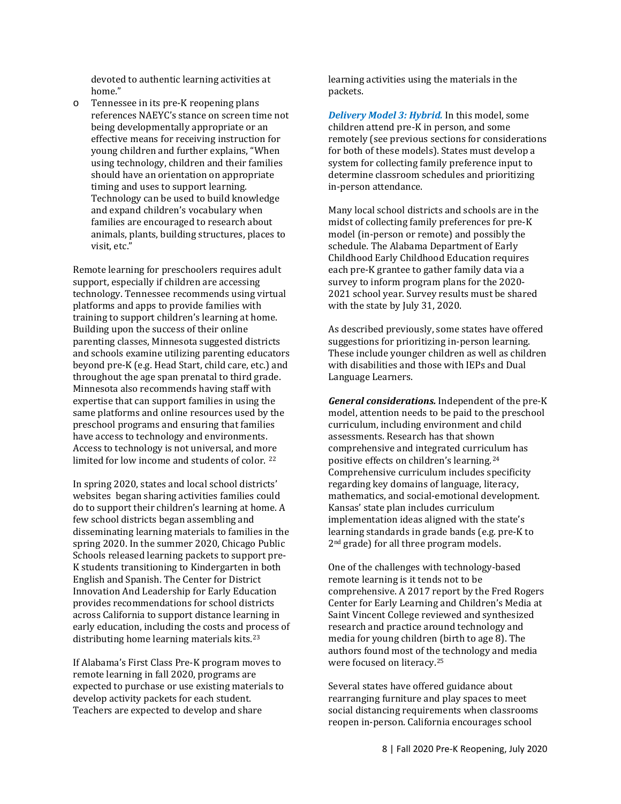devoted to authentic learning activities at home."

o Tennessee in its pre-K reopening plans references NAEYC's stance on screen time not being developmentally appropriate or an effective means for receiving instruction for young children and further explains, "When using technology, children and their families should have an orientation on appropriate timing and uses to support learning. Technology can be used to build knowledge and expand children's vocabulary when families are encouraged to research about animals, plants, building structures, places to visit, etc."

Remote learning for preschoolers requires adult support, especially if children are accessing technology. Tennessee recommends using virtual platforms and apps to provide families with training to support children's learning at home. Building upon the success of their online parenting classes, Minnesota suggested districts and schools examine utilizing parenting educators beyond pre-K (e.g. Head Start, child care, etc.) and throughout the age span prenatal to third grade. Minnesota also recommends having staff with expertise that can support families in using the same platforms and online resources used by the preschool programs and ensuring that families have access to technology and environments. Access to technology is not universal, and more limited for low income and students of color. [22](#page-12-19)

In spring 2020, states and local school districts' websites began sharing activities families could do to support their children's learning at home. A few school districts began assembling and disseminating learning materials to families in the spring 2020. In the summer 2020, Chicago Public Schools released learning packets to support pre-K students transitioning to Kindergarten in both English and Spanish. The Center for District Innovation And Leadership for Early Education provides recommendations for school districts across California to support distance learning in early education, including the costs and process of distributing home learning materials kits.[23](#page-12-20) 

If Alabama's First Class Pre-K program moves to remote learning in fall 2020, programs are expected to purchase or use existing materials to develop activity packets for each student. Teachers are expected to develop and share

learning activities using the materials in the packets.

*Delivery Model 3: Hybrid.* In this model, some children attend pre-K in person, and some remotely (see previous sections for considerations for both of these models). States must develop a system for collecting family preference input to determine classroom schedules and prioritizing in-person attendance.

Many local school districts and schools are in the midst of collecting family preferences for pre-K model (in-person or remote) and possibly the schedule. The Alabama Department of Early Childhood Early Childhood Education requires each pre-K grantee to gather family data via a survey to inform program plans for the 2020- 2021 school year. Survey results must be shared with the state by July 31, 2020.

As described previously, some states have offered suggestions for prioritizing in-person learning. These include younger children as well as children with disabilities and those with IEPs and Dual Language Learners.

*General considerations.* Independent of the pre-K model, attention needs to be paid to the preschool curriculum, including environment and child assessments. Research has that shown comprehensive and integrated curriculum has positive effects on children's learning.[24](#page-12-21)  Comprehensive curriculum includes specificity regarding key domains of language, literacy, mathematics, and social-emotional development. Kansas' state plan includes curriculum implementation ideas aligned with the state's learning standards in grade bands (e.g. pre-K to 2<sup>nd</sup> grade) for all three program models.

One of the challenges with technology-based remote learning is it tends not to be comprehensive. A 2017 report by the Fred Rogers Center for Early Learning and Children's Media at Saint Vincent College reviewed and synthesized research and practice around technology and media for young children (birth to age 8). The authors found most of the technology and media were focused on literacy.[25](#page-12-22)

Several states have offered guidance about rearranging furniture and play spaces to meet social distancing requirements when classrooms reopen in-person. California encourages school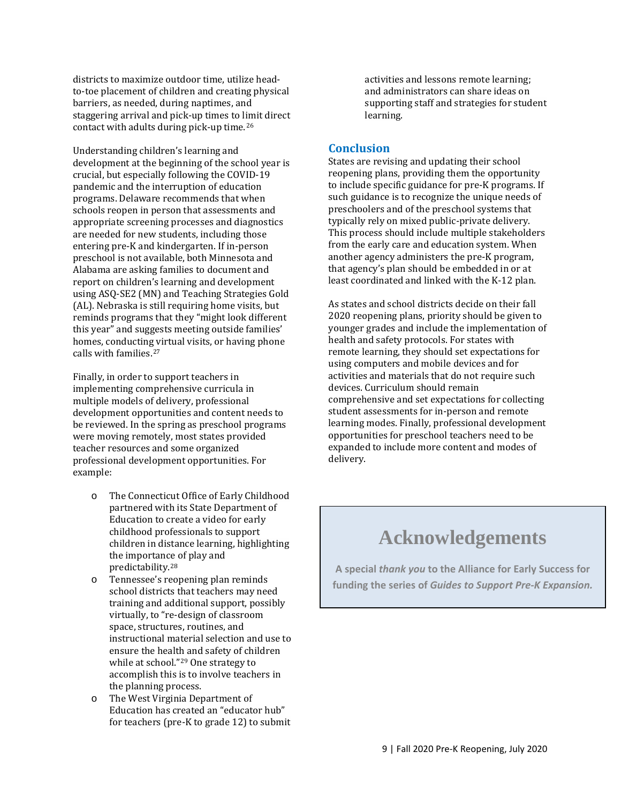districts to maximize outdoor time, utilize headto-toe placement of children and creating physical barriers, as needed, during naptimes, and staggering arrival and pick-up times to limit direct contact with adults during pick-up time.[26](#page-12-8)

Understanding children's learning and development at the beginning of the school year is crucial, but especially following the COVID-19 pandemic and the interruption of education programs. Delaware recommends that when schools reopen in person that assessments and appropriate screening processes and diagnostics are needed for new students, including those entering pre-K and kindergarten. If in-person preschool is not available, both Minnesota and Alabama are asking families to document and report on children's learning and development using ASQ-SE2 (MN) and Teaching Strategies Gold (AL). Nebraska is still requiring home visits, but reminds programs that they "might look different this year" and suggests meeting outside families' homes, conducting virtual visits, or having phone calls with families.[27](#page-12-23)

Finally, in order to support teachers in implementing comprehensive curricula in multiple models of delivery, professional development opportunities and content needs to be reviewed. In the spring as preschool programs were moving remotely, most states provided teacher resources and some organized professional development opportunities. For example:

- o The Connecticut Office of Early Childhood partnered with its State Department of Education to create a video for early childhood professionals to support children in distance learning, highlighting the importan[ce o](#page-12-9)f play and predictability.28
- o Tennessee's reopening plan reminds school districts that teachers may need training and additional support, possibly virtually, to "re-design of classroom space, structures, routines, and instructional material selection and use to ensure the health and safety of children while at school."[29](#page-12-24) One strategy to accomplish this is to involve teachers in the planning process.
- o The West Virginia Department of Education has created an "educator hub" for teachers (pre-K to grade 12) to submit

activities and lessons remote learning; and administrators can share ideas on supporting staff and strategies for student learning.

## **Conclusion**

States are revising and updating their school reopening plans, providing them the opportunity to include specific guidance for pre-K programs. If such guidance is to recognize the unique needs of preschoolers and of the preschool systems that typically rely on mixed public-private delivery. This process should include multiple stakeholders from the early care and education system. When another agency administers the pre-K program, that agency's plan should be embedded in or at least coordinated and linked with the K-12 plan.

As states and school districts decide on their fall 2020 reopening plans, priority should be given to younger grades and include the implementation of health and safety protocols. For states with remote learning, they should set expectations for using computers and mobile devices and for activities and materials that do not require such devices. Curriculum should remain comprehensive and set expectations for collecting student assessments for in-person and remote learning modes. Finally, professional development opportunities for preschool teachers need to be expanded to include more content and modes of delivery.

# **Acknowledgements**

**A special** *thank you* **to the Alliance for Early Success for funding the series of** *Guides to Support Pre-K Expansion.*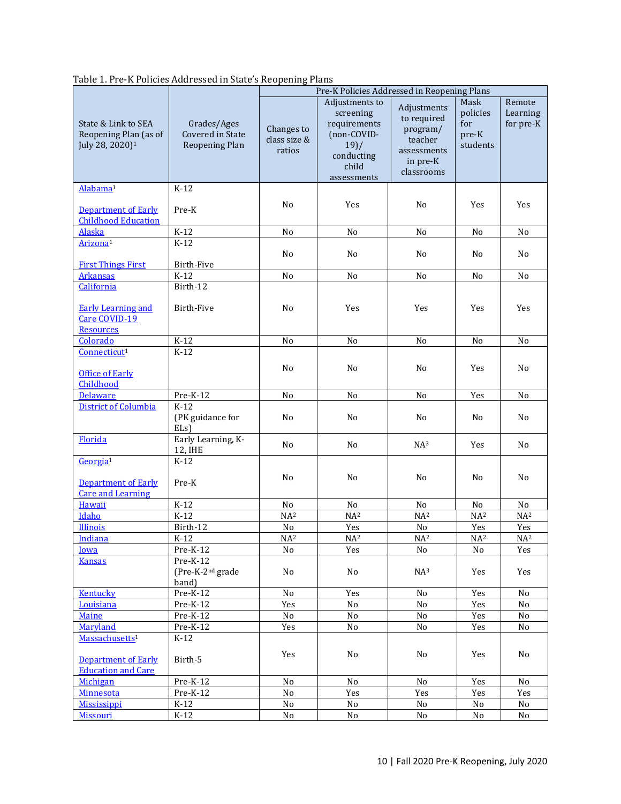| Table 1. Pre-K Policies Addressed in State's Reopening Plans |  |
|--------------------------------------------------------------|--|
|                                                              |  |

|                                                                                |                                                          | Pre-K Policies Addressed in Reopening Plans |                                                                                                           |                                                                                            |                                              |                                 |  |
|--------------------------------------------------------------------------------|----------------------------------------------------------|---------------------------------------------|-----------------------------------------------------------------------------------------------------------|--------------------------------------------------------------------------------------------|----------------------------------------------|---------------------------------|--|
| State & Link to SEA<br>Reopening Plan (as of<br>July 28, 2020) <sup>1</sup>    | Grades/Ages<br><b>Covered in State</b><br>Reopening Plan | Changes to<br>class size &<br>ratios        | Adjustments to<br>screening<br>requirements<br>(non-COVID-<br>19) /<br>conducting<br>child<br>assessments | Adjustments<br>to required<br>program/<br>teacher<br>assessments<br>in pre-K<br>classrooms | Mask<br>policies<br>for<br>pre-K<br>students | Remote<br>Learning<br>for pre-K |  |
| Alabama <sup>1</sup>                                                           | $K-12$                                                   |                                             |                                                                                                           |                                                                                            |                                              |                                 |  |
| <b>Department of Early</b><br><b>Childhood Education</b>                       | Pre-K                                                    | No                                          | Yes                                                                                                       | No                                                                                         | Yes                                          | Yes                             |  |
| <b>Alaska</b>                                                                  | $K-12$                                                   | No                                          | No                                                                                                        | No                                                                                         | No                                           | No                              |  |
| Arizona <sup>1</sup>                                                           | $K-12$                                                   | No                                          | N <sub>0</sub>                                                                                            | No                                                                                         | N <sub>0</sub>                               | No                              |  |
| <b>First Things First</b><br><b>Arkansas</b>                                   | Birth-Five<br>$K-12$                                     | No                                          | No                                                                                                        | No                                                                                         | No                                           | No                              |  |
| California                                                                     | Birth-12                                                 |                                             |                                                                                                           |                                                                                            |                                              |                                 |  |
| <b>Early Learning and</b><br>Care COVID-19<br>Resources                        | <b>Birth-Five</b>                                        | No                                          | Yes                                                                                                       | Yes                                                                                        | Yes                                          | Yes                             |  |
| Colorado                                                                       | $K-12$                                                   | No                                          | No                                                                                                        | N <sub>o</sub>                                                                             | No                                           | N <sub>o</sub>                  |  |
| Connecticut <sup>1</sup>                                                       | $K-12$                                                   |                                             |                                                                                                           |                                                                                            |                                              |                                 |  |
| <b>Office of Early</b><br>Childhood                                            |                                                          | No                                          | No                                                                                                        | No                                                                                         | Yes                                          | No                              |  |
| <b>Delaware</b>                                                                | Pre-K-12                                                 | N <sub>o</sub>                              | N <sub>o</sub>                                                                                            | N <sub>o</sub>                                                                             | Yes                                          | N <sub>o</sub>                  |  |
| <b>District of Columbia</b>                                                    | $K-12$<br>(PK guidance for<br>$ELs$ )                    | No                                          | No                                                                                                        | No                                                                                         | No                                           | No                              |  |
| Florida                                                                        | Early Learning, K-<br>12, IHE                            | No                                          | N <sub>0</sub>                                                                                            | NA <sup>3</sup>                                                                            | Yes                                          | N <sub>0</sub>                  |  |
| Georgia <sup>1</sup><br><b>Department of Early</b><br><b>Care and Learning</b> | $K-12$<br>Pre-K                                          | No                                          | No                                                                                                        | No                                                                                         | No                                           | No                              |  |
| Hawaii                                                                         | $K-12$                                                   | No                                          | No                                                                                                        | No                                                                                         | No                                           | $\rm No$                        |  |
| Idaho                                                                          | $K-12$                                                   | NA <sup>2</sup>                             | NA <sup>2</sup>                                                                                           | NA <sup>2</sup>                                                                            | NA <sup>2</sup>                              | NA <sup>2</sup>                 |  |
| Illinois                                                                       | Birth-12                                                 | No                                          | Yes                                                                                                       | No                                                                                         | Yes                                          | Yes                             |  |
| Indiana                                                                        | $K-12$                                                   | NA <sup>2</sup>                             | NA <sup>2</sup>                                                                                           | NA <sup>2</sup>                                                                            | NA <sup>2</sup>                              | NA <sup>2</sup>                 |  |
| Iowa                                                                           | Pre-K-12<br>Pre-K-12                                     | No                                          | Yes                                                                                                       | No                                                                                         | No                                           | Yes                             |  |
| <b>Kansas</b>                                                                  | (Pre-K-2nd grade<br>band)                                | No                                          | No                                                                                                        | NA <sup>3</sup>                                                                            | Yes                                          | Yes                             |  |
| Kentucky                                                                       | Pre-K-12                                                 | No                                          | Yes                                                                                                       | No                                                                                         | Yes                                          | No                              |  |
| Louisiana                                                                      | $Pre-K-12$                                               | Yes                                         | No                                                                                                        | No                                                                                         | Yes                                          | No                              |  |
| <b>Maine</b>                                                                   | $Pre-K-12$                                               | No                                          | No                                                                                                        | No                                                                                         | Yes                                          | No                              |  |
| Maryland<br>Massachusetts <sup>1</sup>                                         | $\overline{\text{Pre-K-12}}$<br>$K-12$                   | Yes                                         | $\rm No$                                                                                                  | No                                                                                         | Yes                                          | No                              |  |
| <b>Department of Early</b><br><b>Education and Care</b>                        | Birth-5                                                  | Yes                                         | No                                                                                                        | No                                                                                         | Yes                                          | No                              |  |
| Michigan                                                                       | $Pre-K-12$                                               | No                                          | No                                                                                                        | No                                                                                         | Yes                                          | $\rm No$                        |  |
| Minnesota                                                                      | $Pre-K-12$                                               | $\rm No$                                    | Yes                                                                                                       | Yes                                                                                        | Yes                                          | Yes                             |  |
| <b>Mississippi</b>                                                             | $K-12$                                                   | $\rm No$                                    | No                                                                                                        | No                                                                                         | No                                           | No                              |  |
| <b>Missouri</b>                                                                | $K-12$                                                   | No                                          | $\rm No$                                                                                                  | No                                                                                         | No                                           | No                              |  |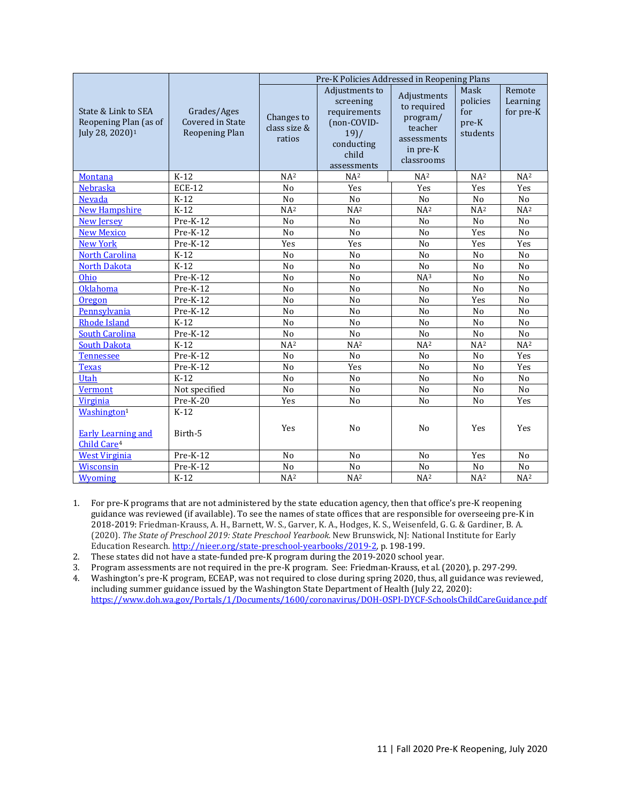|                                                                                 |                                                          | Pre-K Policies Addressed in Reopening Plans |                                                                                                           |                                                                                            |                                              |                                 |  |
|---------------------------------------------------------------------------------|----------------------------------------------------------|---------------------------------------------|-----------------------------------------------------------------------------------------------------------|--------------------------------------------------------------------------------------------|----------------------------------------------|---------------------------------|--|
| State & Link to SEA<br>Reopening Plan (as of<br>July 28, 2020) <sup>1</sup>     | Grades/Ages<br><b>Covered in State</b><br>Reopening Plan | Changes to<br>class size &<br>ratios        | Adjustments to<br>screening<br>requirements<br>(non-COVID-<br>19) /<br>conducting<br>child<br>assessments | Adjustments<br>to required<br>program/<br>teacher<br>assessments<br>in pre-K<br>classrooms | Mask<br>policies<br>for<br>pre-K<br>students | Remote<br>Learning<br>for pre-K |  |
| <b>Montana</b>                                                                  | $K-12$                                                   | NA <sup>2</sup>                             | NA <sup>2</sup>                                                                                           | NA <sup>2</sup>                                                                            | NA <sup>2</sup>                              | NA <sup>2</sup>                 |  |
| <b>Nebraska</b>                                                                 | <b>ECE-12</b>                                            | N <sub>o</sub>                              | Yes                                                                                                       | Yes                                                                                        | Yes                                          | Yes                             |  |
| Nevada                                                                          | $K-12$                                                   | No                                          | No                                                                                                        | No                                                                                         | No                                           | No                              |  |
| <b>New Hampshire</b>                                                            | $K-12$                                                   | NA <sup>2</sup>                             | NA <sup>2</sup>                                                                                           | NA <sup>2</sup>                                                                            | NA <sup>2</sup>                              | NA <sup>2</sup>                 |  |
| <b>New Jersey</b>                                                               | Pre-K-12                                                 | No                                          | No                                                                                                        | No                                                                                         | No                                           | No                              |  |
| <b>New Mexico</b>                                                               | $Pre-K-12$                                               | N <sub>o</sub>                              | N <sub>o</sub>                                                                                            | N <sub>o</sub>                                                                             | Yes                                          | N <sub>o</sub>                  |  |
| <b>New York</b>                                                                 | $Pre-K-12$                                               | Yes                                         | Yes                                                                                                       | N <sub>o</sub>                                                                             | Yes                                          | Yes                             |  |
| <b>North Carolina</b>                                                           | $K-12$                                                   | No                                          | N <sub>o</sub>                                                                                            | No                                                                                         | N <sub>o</sub>                               | N <sub>o</sub>                  |  |
| <b>North Dakota</b>                                                             | $K-12$                                                   | N <sub>o</sub>                              | N <sub>o</sub>                                                                                            | N <sub>o</sub>                                                                             | N <sub>o</sub>                               | N <sub>o</sub>                  |  |
| Ohio                                                                            | $Pre-K-12$                                               | N <sub>o</sub>                              | N <sub>o</sub>                                                                                            | NA <sup>3</sup>                                                                            | N <sub>o</sub>                               | N <sub>o</sub>                  |  |
| Oklahoma                                                                        | Pre-K-12                                                 | No                                          | No                                                                                                        | No                                                                                         | N <sub>o</sub>                               | No                              |  |
| Oregon                                                                          | Pre-K-12                                                 | N <sub>o</sub>                              | N <sub>o</sub>                                                                                            | N <sub>o</sub>                                                                             | Yes                                          | N <sub>o</sub>                  |  |
| Pennsylvania                                                                    | Pre-K-12                                                 | N <sub>o</sub>                              | N <sub>o</sub>                                                                                            | N <sub>o</sub>                                                                             | N <sub>o</sub>                               | N <sub>o</sub>                  |  |
| <b>Rhode Island</b>                                                             | $K-12$                                                   | N <sub>o</sub>                              | N <sub>o</sub>                                                                                            | N <sub>o</sub>                                                                             | N <sub>o</sub>                               | N <sub>o</sub>                  |  |
| <b>South Carolina</b>                                                           | $Pre-K-12$                                               | N <sub>o</sub>                              | N <sub>o</sub>                                                                                            | N <sub>o</sub>                                                                             | N <sub>o</sub>                               | N <sub>o</sub>                  |  |
| <b>South Dakota</b>                                                             | $K-12$                                                   | NA <sup>2</sup>                             | NA <sup>2</sup>                                                                                           | NA <sup>2</sup>                                                                            | NA <sup>2</sup>                              | NA <sup>2</sup>                 |  |
| <b>Tennessee</b>                                                                | $Pre-K-12$                                               | N <sub>o</sub>                              | N <sub>o</sub>                                                                                            | N <sub>o</sub>                                                                             | N <sub>o</sub>                               | Yes                             |  |
| <b>Texas</b>                                                                    | Pre-K-12                                                 | No                                          | Yes                                                                                                       | No                                                                                         | No                                           | Yes                             |  |
| Utah                                                                            | $K-12$                                                   | No                                          | No                                                                                                        | No                                                                                         | No                                           | No                              |  |
| <b>Vermont</b>                                                                  | Not specified                                            | No                                          | No                                                                                                        | No                                                                                         | No                                           | No                              |  |
| <b>Virginia</b>                                                                 | $Pre-K-20$                                               | Yes                                         | No                                                                                                        | No                                                                                         | No                                           | Yes                             |  |
| Washington <sup>1</sup><br><b>Early Learning and</b><br>Child Care <sup>4</sup> | $K-12$<br>Birth-5                                        | Yes                                         | N <sub>o</sub>                                                                                            | N <sub>o</sub>                                                                             | Yes                                          | Yes                             |  |
| <b>West Virginia</b>                                                            | Pre-K-12                                                 | No                                          | No                                                                                                        | No                                                                                         | Yes                                          | No                              |  |
| Wisconsin                                                                       | Pre-K-12                                                 | No                                          | No                                                                                                        | No                                                                                         | No                                           | No                              |  |
| Wyoming                                                                         | $K-12$                                                   | NA <sup>2</sup>                             | NA <sup>2</sup>                                                                                           | NA <sup>2</sup>                                                                            | NA <sup>2</sup>                              | NA <sup>2</sup>                 |  |

- 1. For pre-K programs that are not administered by the state education agency, then that office's pre-K reopening guidance was reviewed (if available). To see the names of state offices that are responsible for overseeing pre-K in 2018-2019: Friedman-Krauss, A. H., Barnett, W. S., Garver, K. A., Hodges, K. S., Weisenfeld, G. G. & Gardiner, B. A. (2020). *The State of Preschool 2019: State Preschool Yearbook.* New Brunswick, NJ: National Institute for Early Education Research[. http://nieer.org/state-preschool-yearbooks/2019-2,](http://nieer.org/state-preschool-yearbooks/2019-2) p. 198-199.
- 2. These states did not have a state-funded pre-K program during the 2019-2020 school year.

3. Program assessments are not required in the pre-K program. See: Friedman-Krauss, et al. (2020), p. 297-299.

4. Washington's pre-K program, ECEAP, was not required to close during spring 2020, thus, all guidance was reviewed, including summer guidance issued by the Washington State Department of Health (July 22, 2020): <https://www.doh.wa.gov/Portals/1/Documents/1600/coronavirus/DOH-OSPI-DYCF-SchoolsChildCareGuidance.pdf>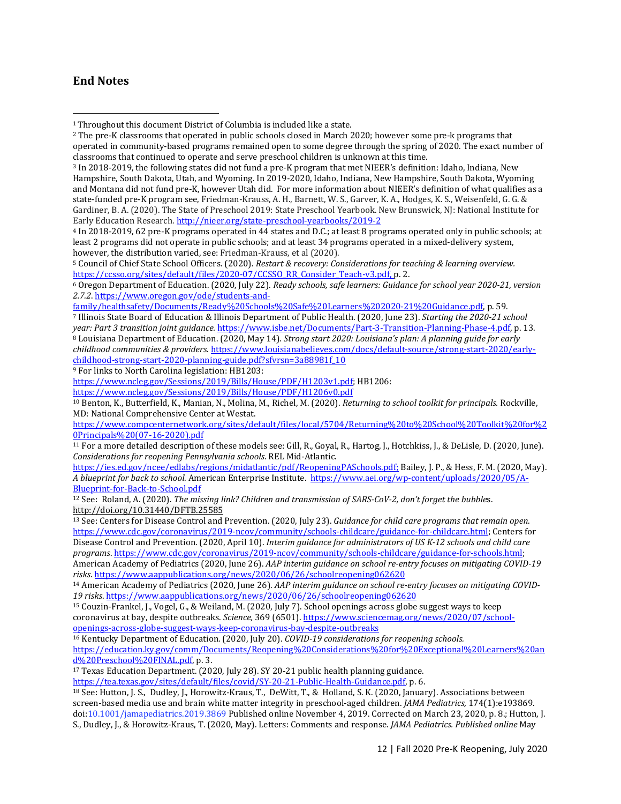## **End Notes**

 $\overline{a}$ 

<sup>4</sup> In 2018-2019, 62 pre-K programs operated in 44 states and D.C.; at least 8 programs operated only in public schools; at least 2 programs did not operate in public schools; and at least 34 programs operated in a mixed-delivery system, however, the distribution varied, see: Friedman-Krauss, et al (2020).

<sup>9</sup> For links to North Carolina legislation: HB1203:

[https://www.ncleg.gov/Sessions/2019/Bills/House/PDF/H1203v1.pdf;](https://www.ncleg.gov/Sessions/2019/Bills/House/PDF/H1203v1.pdf) HB1206:

<https://www.ncleg.gov/Sessions/2019/Bills/House/PDF/H1206v0.pdf>

<sup>10</sup> Benton, K., Butterfield, K., Manian, N., Molina, M., Richel, M. (2020). *Returning to school toolkit for principals.* Rockville, MD: National Comprehensive Center at Westat.

```
https://www.compcenternetwork.org/sites/default/files/local/5704/Returning%20to%20School%20Toolkit%20for%2
0Principals%20(07-16-2020).pdf
```

```
11 For a more detailed description of these models see: Gill, R., Goyal, R., Hartog, J., Hotchkiss, J., & DeLisle, D. (2020, June). 
Considerations for reopening Pennsylvania schools. REL Mid-Atlantic.
```
[https://ies.ed.gov/ncee/edlabs/regions/midatlantic/pdf/ReopeningPASchools.pdf;](https://ies.ed.gov/ncee/edlabs/regions/midatlantic/pdf/ReopeningPASchools.pdf) Bailey, J. P., & Hess, F. M. (2020, May). *A blueprint for back to school*. American Enterprise Institute. [https://www.aei.org/wp-content/uploads/2020/05/A-](https://www.aei.org/wp-content/uploads/2020/05/A-Blueprint-for-Back-to-School.pdf)[Blueprint-for-Back-to-School.pdf](https://www.aei.org/wp-content/uploads/2020/05/A-Blueprint-for-Back-to-School.pdf)

<sup>12</sup> See: Roland, A. (2020). *The missing link? Children and transmission of SARS-CoV-2, don't forget the bubble*s. <http://doi.org/10.31440/DFTB.25585>

<sup>13</sup> See: Centers for Disease Control and Prevention. (2020, July 23). *Guidance for child care programs that remain open*. [https://www.cdc.gov/coronavirus/2019-ncov/community/schools-childcare/guidance-for-childcare.html;](https://www.cdc.gov/coronavirus/2019-ncov/community/schools-childcare/guidance-for-childcare.html) Centers for Disease Control and Prevention. (2020, April 10). *Interim guidance for administrators of US K-12 schools and child care programs*[. https://www.cdc.gov/coronavirus/2019-ncov/community/schools-childcare/guidance-for-schools.html;](https://www.cdc.gov/coronavirus/2019-ncov/community/schools-childcare/guidance-for-schools.html)  American Academy of Pediatrics (2020, June 26). *AAP interim guidance on school re-entry focuses on mitigating COVID-19 risks*[. https://www.aappublications.org/news/2020/06/26/schoolreopening062620](https://www.aappublications.org/news/2020/06/26/schoolreopening062620)

<sup>14</sup> American Academy of Pediatrics (2020, June 26). *AAP interim guidance on school re-entry focuses on mitigating COVID-19 risks*.<https://www.aappublications.org/news/2020/06/26/schoolreopening062620>

<sup>16</sup> Kentucky Department of Education. (2020, July 20). *COVID-19 considerations for reopening schools.* 

[https://education.ky.gov/comm/Documents/Reopening%20Considerations%20for%20Exceptional%20Learners%20an](https://education.ky.gov/comm/Documents/Reopening%20Considerations%20for%20Exceptional%20Learners%20and%20Preschool%20FINAL.pdf) [d%20Preschool%20FINAL.pdf,](https://education.ky.gov/comm/Documents/Reopening%20Considerations%20for%20Exceptional%20Learners%20and%20Preschool%20FINAL.pdf) p. 3.

<sup>17</sup> Texas Education Department. (2020, July 28). SY 20-21 public health planning guidance.

[https://tea.texas.gov/sites/default/files/covid/SY-20-21-Public-Health-Guidance.pdf,](https://tea.texas.gov/sites/default/files/covid/SY-20-21-Public-Health-Guidance.pdf) p. 6.

<sup>18</sup> See: Hutton, J. S., Dudley, J., Horowitz-Kraus, T., DeWitt, T., & Holland, S. K. (2020, January). Associations between screen-based media use and brain white matter integrity in preschool-aged children. *JAMA Pediatrics,* 174(1):e193869. doi:10.1001/jamapediatrics.2019.3869 Published online November 4, 2019. Corrected on March 23, 2020, p. 8.; Hutton, J. S., Dudley, J., & Horowitz-Kraus, T. (2020, May). Letters: Comments and response. *JAMA Pediatrics. Published online* May

<sup>1</sup> Throughout this document District of Columbia is included like a state.

<sup>2</sup> The pre-K classrooms that operated in public schools closed in March 2020; however some pre-k programs that operated in community-based programs remained open to some degree through the spring of 2020. The exact number of classrooms that continued to operate and serve preschool children is unknown at this time.

<sup>3</sup> In 2018-2019, the following states did not fund a pre-K program that met NIEER's definition: Idaho, Indiana, New Hampshire, South Dakota, Utah, and Wyoming. In 2019-2020, Idaho, Indiana, New Hampshire, South Dakota, Wyoming and Montana did not fund pre-K, however Utah did. For more information about NIEER's definition of what qualifies as a state-funded pre-K program see, Friedman-Krauss, A. H., Barnett, W. S., Garver, K. A., Hodges, K. S., Weisenfeld, G. G. & Gardiner, B. A. (2020). The State of Preschool 2019: State Preschool Yearbook. New Brunswick, NJ: National Institute for Early Education Research[. http://nieer.org/state-preschool-yearbooks/2019-2](http://nieer.org/state-preschool-yearbooks/2019-2)

<sup>5</sup> Council of Chief State School Officers. (2020). *Restart & recovery: Considerations for teaching & learning overview.* [https://ccsso.org/sites/default/files/2020-07/CCSSO\\_RR\\_Consider\\_Teach-v3.pdf,](https://ccsso.org/sites/default/files/2020-07/CCSSO_RR_Consider_Teach-v3.pdf) p. 2.

<sup>6</sup> Oregon Department of Education. (2020, July 22). *Ready schools, safe learners: Guidance for school year 2020-21, version 2.7.2*[. https://www.oregon.gov/ode/students-and-](https://www.oregon.gov/ode/students-and-family/healthsafety/Documents/Ready%20Schools%20Safe%20Learners%202020-21%20Guidance.pdf)

[family/healthsafety/Documents/Ready%20Schools%20Safe%20Learners%202020-21%20Guidance.pdf,](https://www.oregon.gov/ode/students-and-family/healthsafety/Documents/Ready%20Schools%20Safe%20Learners%202020-21%20Guidance.pdf) p. 59.

<sup>7</sup> Illinois State Board of Education & Illinois Department of Public Health. (2020, June 23). *Starting the 2020-21 school year: Part 3 transition joint guidance.* [https://www.isbe.net/Documents/Part-3-Transition-Planning-Phase-4.pdf,](https://www.isbe.net/Documents/Part-3-Transition-Planning-Phase-4.pdf) p. 13. <sup>8</sup> Louisiana Department of Education. (2020, May 14). *Strong start 2020: Louisiana's plan: A planning guide for early* 

*childhood communities & providers.* [https://www.louisianabelieves.com/docs/default-source/strong-start-2020/early](https://www.louisianabelieves.com/docs/default-source/strong-start-2020/early-childhood-strong-start-2020-planning-guide.pdf?sfvrsn=3a88981f_10)childhood-strong-start-2020-planning-guide.pdf?sfvrsn=3a88981f 10

<sup>15</sup> Couzin-Frankel, J., Vogel, G., & Weiland, M. (2020, July 7). School openings across globe suggest ways to keep coronavirus at bay, despite outbreaks. *Science,* 369 (6501)[. https://www.sciencemag.org/news/2020/07/school](https://www.sciencemag.org/news/2020/07/school-openings-across-globe-suggest-ways-keep-coronavirus-bay-despite-outbreaks)[openings-across-globe-suggest-ways-keep-coronavirus-bay-despite-outbreaks](https://www.sciencemag.org/news/2020/07/school-openings-across-globe-suggest-ways-keep-coronavirus-bay-despite-outbreaks)